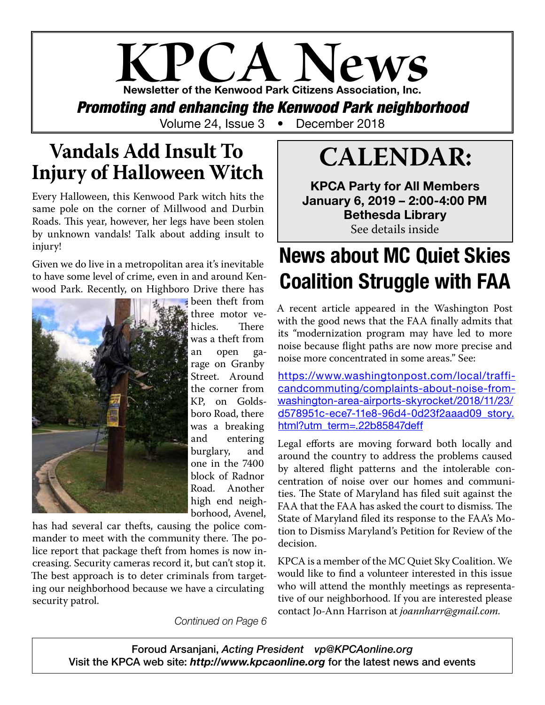## **KPCA News** Newsletter of the Kenwood Park Citizens Association, Inc. *Promoting and enhancing the Kenwood Park neighborhood*

Volume 24, Issue 3 • December 2018

## **Vandals Add Insult To Injury of Halloween Witch**

Every Halloween, this Kenwood Park witch hits the same pole on the corner of Millwood and Durbin Roads. This year, however, her legs have been stolen by unknown vandals! Talk about adding insult to injury!

Given we do live in a metropolitan area it's inevitable to have some level of crime, even in and around Kenwood Park. Recently, on Highboro Drive there has



been theft from three motor ve-<br>hicles. There hicles. was a theft from an open garage on Granby Street. Around the corner from KP, on Goldsboro Road, there was a breaking and entering burglary, and one in the 7400 block of Radnor Road. Another high end neighborhood, Avenel,

has had several car thefts, causing the police commander to meet with the community there. The police report that package theft from homes is now increasing. Security cameras record it, but can't stop it. The best approach is to deter criminals from targeting our neighborhood because we have a circulating security patrol.

*Continued on Page 6*

# **CALENDAR:**

KPCA Party for All Members January 6, 2019 – 2:00-4:00 PM Bethesda Library See details inside

## News about MC Quiet Skies Coalition Struggle with FAA

A recent article appeared in the Washington Post with the good news that the FAA finally admits that its "modernization program may have led to more noise because flight paths are now more precise and noise more concentrated in some areas." See:

https://www.washingtonpost.com/local/trafficandcommuting/complaints-about-noise-fromwashington-area-airports-skyrocket/2018/11/23/ d578951c-ece7-11e8-96d4-0d23f2aaad09\_story. html?utm\_term=.22b85847deff

Legal efforts are moving forward both locally and around the country to address the problems caused by altered flight patterns and the intolerable concentration of noise over our homes and communities. The State of Maryland has filed suit against the FAA that the FAA has asked the court to dismiss. The State of Maryland filed its response to the FAA's Motion to Dismiss Maryland's Petition for Review of the decision.

KPCA is a member of the MC Quiet Sky Coalition. We would like to find a volunteer interested in this issue who will attend the monthly meetings as representative of our neighborhood. If you are interested please contact Jo-Ann Harrison at *joannharr@gmail.com.*

Foroud Arsanjani, *Acting President vp@KPCAonline.org* Visit the KPCA web site: *http://www.kpcaonline.org* for the latest news and events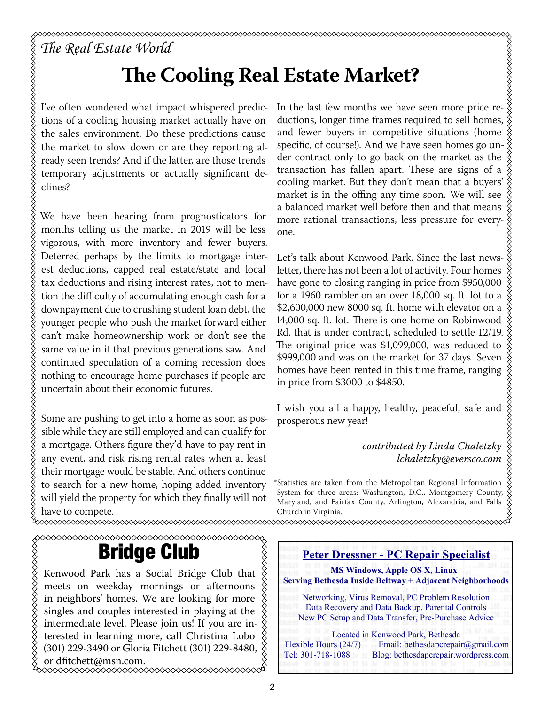# *The Real Estate World*

## **The Cooling Real Estate Market?**

I've often wondered what impact whispered predictions of a cooling housing market actually have on the sales environment. Do these predictions cause the market to slow down or are they reporting already seen trends? And if the latter, are those trends temporary adjustments or actually significant declines?

We have been hearing from prognosticators for months telling us the market in 2019 will be less vigorous, with more inventory and fewer buyers. Deterred perhaps by the limits to mortgage interest deductions, capped real estate/state and local tax deductions and rising interest rates, not to mention the difficulty of accumulating enough cash for a downpayment due to crushing student loan debt, the younger people who push the market forward either can't make homeownership work or don't see the same value in it that previous generations saw. And continued speculation of a coming recession does nothing to encourage home purchases if people are uncertain about their economic futures.

Some are pushing to get into a home as soon as possible while they are still employed and can qualify for a mortgage. Others figure they'd have to pay rent in any event, and risk rising rental rates when at least their mortgage would be stable. And others continue to search for a new home, hoping added inventory will yield the property for which they finally will not have to compete.

In the last few months we have seen more price reductions, longer time frames required to sell homes, and fewer buyers in competitive situations (home specific, of course!). And we have seen homes go under contract only to go back on the market as the transaction has fallen apart. These are signs of a cooling market. But they don't mean that a buyers' market is in the offing any time soon. We will see a balanced market well before then and that means more rational transactions, less pressure for everyone.

\$\$\$\$\$\$\$\$\$\$\$\$\$

Let's talk about Kenwood Park. Since the last newsletter, there has not been a lot of activity. Four homes have gone to closing ranging in price from \$950,000 for a 1960 rambler on an over 18,000 sq. ft. lot to a \$2,600,000 new 8000 sq. ft. home with elevator on a 14,000 sq. ft. lot. There is one home on Robinwood Rd. that is under contract, scheduled to settle 12/19. The original price was \$1,099,000, was reduced to \$999,000 and was on the market for 37 days. Seven homes have been rented in this time frame, ranging in price from \$3000 to \$4850.

I wish you all a happy, healthy, peaceful, safe and prosperous new year!

> *contributed by Linda Chaletzky lchaletzky@eversco.com*

\*Statistics are taken from the Metropolitan Regional Information System for three areas: Washington, D.C., Montgomery County, Maryland, and Fairfax County, Arlington, Alexandria, and Falls Church in Virginia. 

## Bridge Club

Kenwood Park has a Social Bridge Club that  $\frac{X}{X}$ meets on weekday mornings or afternoons in neighbors' homes. We are looking for more singles and couples interested in playing at the intermediate level. Please join us! If you are in- $\frac{8}{2}$ terested in learning more, call Christina Lobo (301) 229-3490 or Gloria Fitchett (301) 229-8480, or dfitchett@msn.com.

 **Peter Dressner - PC Repair Specialist MS Windows, Apple OS X, Linux Serving Bethesda Inside Beltway + Adjacent Neighborhoods** Networking, Virus Removal, PC Problem Resolution Data Recovery and Data Backup, Parental Controls New PC Setup and Data Transfer, Pre-Purchase Advice Located in Kenwood Park, Bethesda<br>Flexible Hours (24/7) Email: bethesdaperepai Email: bethesdapcrepair@gmail.com Tel: 301-718-1088 Blog: bethesdapcrepair.wordpress.com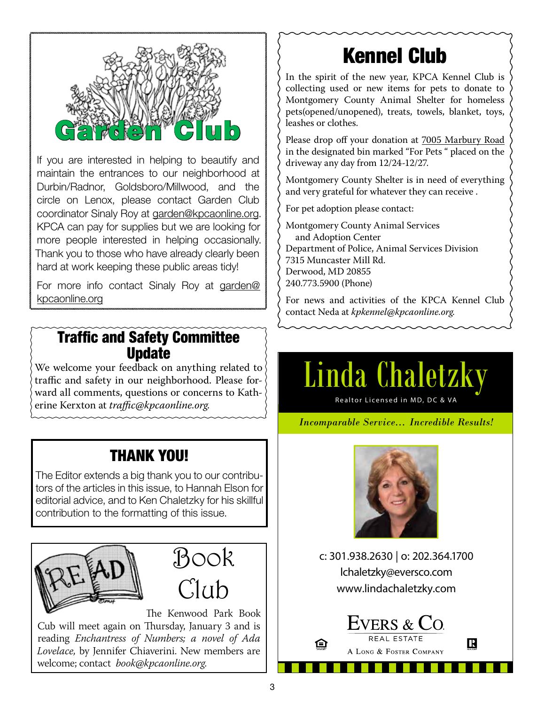

If you are interested in helping to beautify and maintain the entrances to our neighborhood at Durbin/Radnor, Goldsboro/Millwood, and the circle on Lenox, please contact Garden Club coordinator Sinaly Roy at garden@kpcaonline.org. KPCA can pay for supplies but we are looking for more people interested in helping occasionally. Thank you to those who have already clearly been hard at work keeping these public areas tidy!

For more info contact Sinaly Roy at garden@ kpcaonline.org

### Traffic and Safety Committee Update

We welcome your feedback on anything related to  $\frac{1}{2}$ traffic and safety in our neighborhood. Please forward all comments, questions or concerns to Katherine Kerxton at *traffic@kpcaonline.org.*

### THANK YOU!

The Editor extends a big thank you to our contributors of the articles in this issue, to Hannah Elson for editorial advice, and to Ken Chaletzky for his skillful contribution to the formatting of this issue.





The Kenwood Park Book Cub will meet again on Thursday, January 3 and is reading *Enchantress of Numbers; a novel of Ada Lovelace,* by Jennifer Chiaverini. New members are welcome; contact *book@kpcaonline.org*.

## Kennel Club

In the spirit of the new year, KPCA Kennel Club is collecting used or new items for pets to donate to Montgomery County Animal Shelter for homeless pets(opened/unopened), treats, towels, blanket, toys, leashes or clothes.

Please drop off your donation at 7005 Marbury Road in the designated bin marked "For Pets " placed on the driveway any day from 12/24-12/27.

Montgomery County Shelter is in need of everything and very grateful for whatever they can receive .

For pet adoption please contact:

Montgomery County Animal Services and Adoption Center Department of Police, Animal Services Division 7315 Muncaster Mill Rd. Derwood, MD 20855 240.773.5900 (Phone)

For news and activities of the KPCA Kennel Club contact Neda at *kpkennel@kpcaonline.org.*

# Linda Chaletzky

Realtor Licensed in MD, DC & VA

### *Incomparable Service… Incredible Results!*



c: 301.938.2630 | o: 202.364.1700 lchaletzky@eversco.com www.lindachaletzky.com

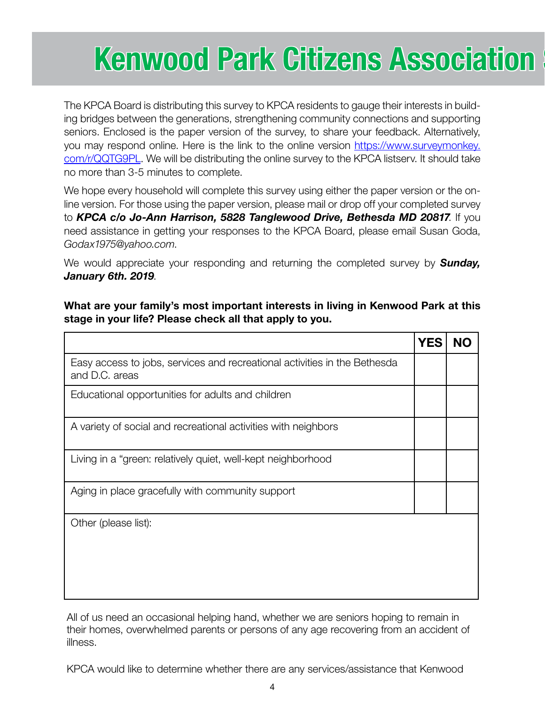# Kenwood Park Citizens Association

The KPCA Board is distributing this survey to KPCA residents to gauge their interests in building bridges between the generations, strengthening community connections and supporting seniors. Enclosed is the paper version of the survey, to share your feedback. Alternatively, you may respond online. Here is the link to the online version https://www.surveymonkey. com/r/QQTG9PL. We will be distributing the online survey to the KPCA listserv. It should take no more than 3-5 minutes to complete.

We hope every household will complete this survey using either the paper version or the online version. For those using the paper version, please mail or drop off your completed survey to *KPCA c/o Jo-Ann Harrison, 5828 Tanglewood Drive, Bethesda MD 20817*. If you need assistance in getting your responses to the KPCA Board, please email Susan Goda, *Godax1975@yahoo.com*.

We would appreciate your responding and returning the completed survey by *Sunday, January 6th. 2019*.

What are your family's most important interests in living in Kenwood Park at this stage in your life? Please check all that apply to you.

|                                                                                             | YES |  |
|---------------------------------------------------------------------------------------------|-----|--|
| Easy access to jobs, services and recreational activities in the Bethesda<br>and D.C. areas |     |  |
| Educational opportunities for adults and children                                           |     |  |
| A variety of social and recreational activities with neighbors                              |     |  |
| Living in a "green: relatively quiet, well-kept neighborhood                                |     |  |
| Aging in place gracefully with community support                                            |     |  |
| Other (please list):                                                                        |     |  |
|                                                                                             |     |  |
|                                                                                             |     |  |
|                                                                                             |     |  |

All of us need an occasional helping hand, whether we are seniors hoping to remain in their homes, overwhelmed parents or persons of any age recovering from an accident of illness.

KPCA would like to determine whether there are any services/assistance that Kenwood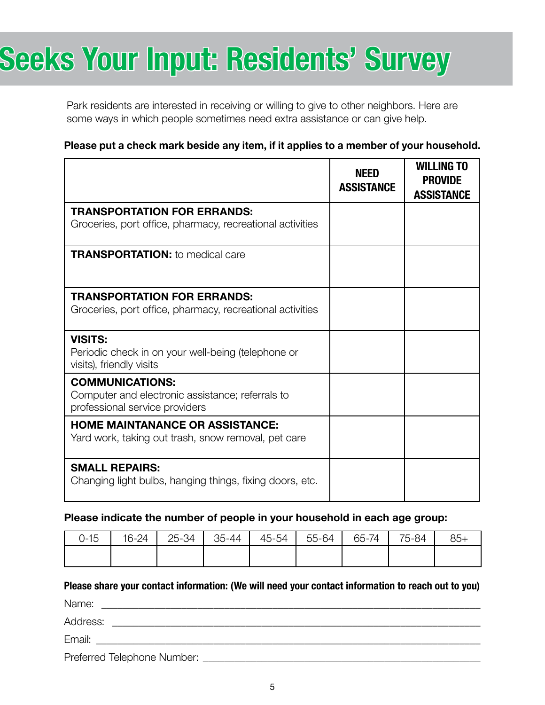# Seeks Your Input: Residents' Survey

Park residents are interested in receiving or willing to give to other neighbors. Here are some ways in which people sometimes need extra assistance or can give help.

#### Please put a check mark beside any item, if it applies to a member of your household.

|                                                                                                              | <b>NEED</b><br><b>ASSISTANCE</b> | <b>WILLING TO</b><br><b>PROVIDE</b><br><b>ASSISTANCE</b> |
|--------------------------------------------------------------------------------------------------------------|----------------------------------|----------------------------------------------------------|
| <b>TRANSPORTATION FOR ERRANDS:</b><br>Groceries, port office, pharmacy, recreational activities              |                                  |                                                          |
| <b>TRANSPORTATION:</b> to medical care                                                                       |                                  |                                                          |
| <b>TRANSPORTATION FOR ERRANDS:</b><br>Groceries, port office, pharmacy, recreational activities              |                                  |                                                          |
| <b>VISITS:</b><br>Periodic check in on your well-being (telephone or<br>visits), friendly visits             |                                  |                                                          |
| <b>COMMUNICATIONS:</b><br>Computer and electronic assistance; referrals to<br>professional service providers |                                  |                                                          |
| <b>HOME MAINTANANCE OR ASSISTANCE:</b><br>Yard work, taking out trash, snow removal, pet care                |                                  |                                                          |
| <b>SMALL REPAIRS:</b><br>Changing light bulbs, hanging things, fixing doors, etc.                            |                                  |                                                          |

#### Please indicate the number of people in your household in each age group:

| $0 - 15$ | 16-24 | 25-34 | 35-44 | 45-54 | 55-64 | 65-74 | 75-84 | $85+$ |
|----------|-------|-------|-------|-------|-------|-------|-------|-------|
|          |       |       |       |       |       |       |       |       |

#### Please share your contact information: (We will need your contact information to reach out to you)

Name: \_\_\_\_\_\_\_\_\_\_\_\_\_\_\_\_\_\_\_\_\_\_\_\_\_\_\_\_\_\_\_\_\_\_\_\_\_\_\_\_\_\_\_\_\_\_\_\_\_\_\_\_\_\_\_\_\_\_\_\_\_\_\_\_\_\_\_\_\_\_\_ Address: \_\_\_\_\_\_\_\_\_\_\_\_\_\_\_\_\_\_\_\_\_\_\_\_\_\_\_\_\_\_\_\_\_\_\_\_\_\_\_\_\_\_\_\_\_\_\_\_\_\_\_\_\_\_\_\_\_\_\_\_\_\_\_\_\_\_\_\_\_ Email: \_\_\_\_\_\_\_\_\_\_\_\_\_\_\_\_\_\_\_\_\_\_\_\_\_\_\_\_\_\_\_\_\_\_\_\_\_\_\_\_\_\_\_\_\_\_\_\_\_\_\_\_\_\_\_\_\_\_\_\_\_\_\_\_\_\_\_\_\_\_\_\_ Preferred Telephone Number: **Example 2018**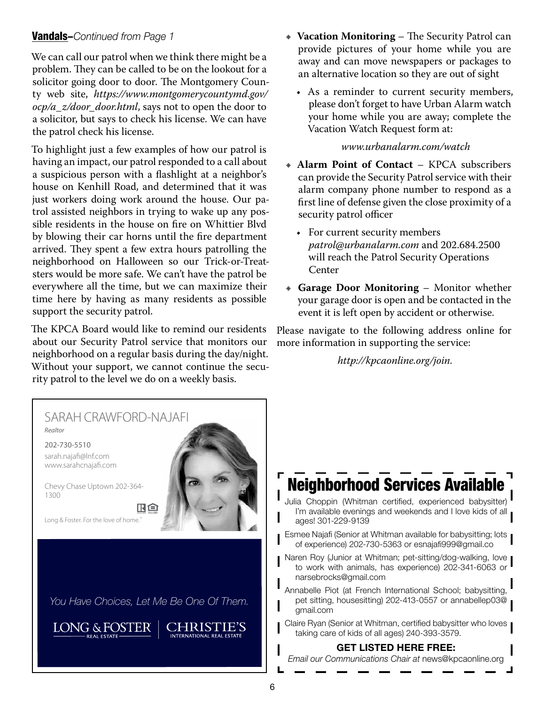### Vandals–*Continued from Page 1*

We can call our patrol when we think there might be a problem. They can be called to be on the lookout for a solicitor going door to door. The Montgomery County web site, *https://www.montgomerycountymd.gov/ ocp/a\_z/door\_door.html*, says not to open the door to a solicitor, but says to check his license. We can have the patrol check his license.

To highlight just a few examples of how our patrol is having an impact, our patrol responded to a call about a suspicious person with a flashlight at a neighbor's house on Kenhill Road, and determined that it was just workers doing work around the house. Our patrol assisted neighbors in trying to wake up any possible residents in the house on fire on Whittier Blvd by blowing their car horns until the fire department arrived. They spent a few extra hours patrolling the neighborhood on Halloween so our Trick-or-Treatsters would be more safe. We can't have the patrol be everywhere all the time, but we can maximize their time here by having as many residents as possible support the security patrol.

The KPCA Board would like to remind our residents about our Security Patrol service that monitors our neighborhood on a regular basis during the day/night. Without your support, we cannot continue the security patrol to the level we do on a weekly basis.

- **Vacation Monitoring** The Security Patrol can provide pictures of your home while you are away and can move newspapers or packages to an alternative location so they are out of sight
	- As a reminder to current security members, please don't forget to have Urban Alarm watch your home while you are away; complete the Vacation Watch Request form at:

#### *www.urbanalarm.com/watch*

- Ε **Alarm Point of Contact**  KPCA subscribers can provide the Security Patrol service with their alarm company phone number to respond as a first line of defense given the close proximity of a security patrol officer
	- For current security members *patrol@urbanalarm.com* and 202.684.2500 will reach the Patrol Security Operations Center
- Ε **Garage Door Monitoring**  Monitor whether your garage door is open and be contacted in the event it is left open by accident or otherwise.

Please navigate to the following address online for more information in supporting the service:

*http://kpcaonline.org/join.*

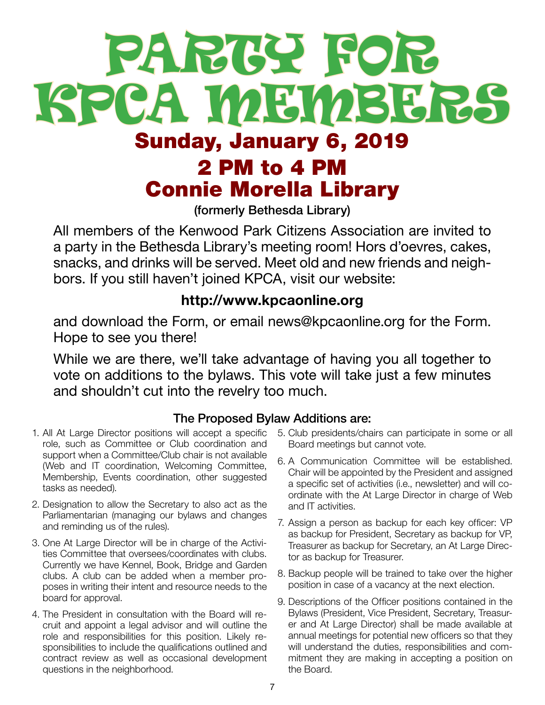# PARTY FOR KPCA MEMBERS Sunday, January 6, 2019 2 PM to 4 PM Connie Morella Library

(formerly Bethesda Library)

All members of the Kenwood Park Citizens Association are invited to a party in the Bethesda Library's meeting room! Hors d'oevres, cakes, snacks, and drinks will be served. Meet old and new friends and neighbors. If you still haven't joined KPCA, visit our website:

### http://www.kpcaonline.org

and download the Form, or email news@kpcaonline.org for the Form. Hope to see you there!

While we are there, we'll take advantage of having you all together to vote on additions to the bylaws. This vote will take just a few minutes and shouldn't cut into the revelry too much.

### The Proposed Bylaw Additions are:

- 1. All At Large Director positions will accept a specific role, such as Committee or Club coordination and support when a Committee/Club chair is not available (Web and IT coordination, Welcoming Committee, Membership, Events coordination, other suggested tasks as needed).
- 2. Designation to allow the Secretary to also act as the Parliamentarian (managing our bylaws and changes and reminding us of the rules).
- 3. One At Large Director will be in charge of the Activities Committee that oversees/coordinates with clubs. Currently we have Kennel, Book, Bridge and Garden clubs. A club can be added when a member proposes in writing their intent and resource needs to the board for approval.
- 4. The President in consultation with the Board will recruit and appoint a legal advisor and will outline the role and responsibilities for this position. Likely responsibilities to include the qualifications outlined and contract review as well as occasional development questions in the neighborhood.
- 5. Club presidents/chairs can participate in some or all Board meetings but cannot vote.
- 6. A Communication Committee will be established. Chair will be appointed by the President and assigned a specific set of activities (i.e., newsletter) and will coordinate with the At Large Director in charge of Web and IT activities.
- 7. Assign a person as backup for each key officer: VP as backup for President, Secretary as backup for VP, Treasurer as backup for Secretary, an At Large Director as backup for Treasurer.
- 8. Backup people will be trained to take over the higher position in case of a vacancy at the next election.
- 9. Descriptions of the Officer positions contained in the Bylaws (President, Vice President, Secretary, Treasurer and At Large Director) shall be made available at annual meetings for potential new officers so that they will understand the duties, responsibilities and commitment they are making in accepting a position on the Board.